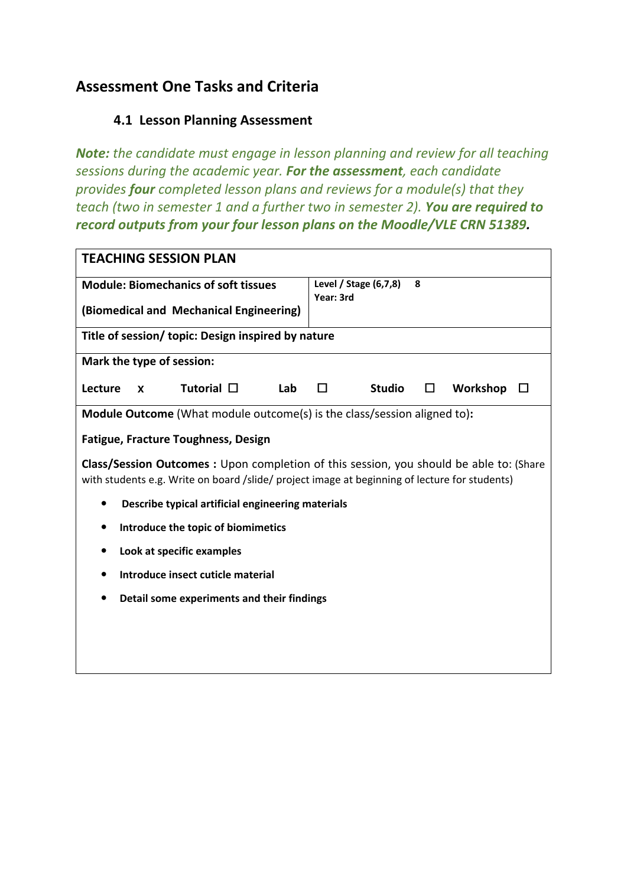# **Assessment One Tasks and Criteria**

## **4.1 Lesson Planning Assessment**

*Note: the candidate must engage in lesson planning and review for all teaching sessions during the academic year. For the assessment, each candidate provides four completed lesson plans and reviews for a module(s) that they teach (two in semester 1 and a further two in semester 2). You are required to record outputs from your four lesson plans on the Moodle/VLE CRN 51389.*

| <b>TEACHING SESSION PLAN</b>                                                                                                                                                             |              |  |                    |     |           |                       |   |          |  |
|------------------------------------------------------------------------------------------------------------------------------------------------------------------------------------------|--------------|--|--------------------|-----|-----------|-----------------------|---|----------|--|
| <b>Module: Biomechanics of soft tissues</b>                                                                                                                                              |              |  |                    |     | Year: 3rd | Level / Stage (6,7,8) | 8 |          |  |
| (Biomedical and Mechanical Engineering)                                                                                                                                                  |              |  |                    |     |           |                       |   |          |  |
| Title of session/ topic: Design inspired by nature                                                                                                                                       |              |  |                    |     |           |                       |   |          |  |
| Mark the type of session:                                                                                                                                                                |              |  |                    |     |           |                       |   |          |  |
| Lecture                                                                                                                                                                                  | $\mathbf{x}$ |  | Tutorial $\square$ | Lab | п         | <b>Studio</b>         | □ | Workshop |  |
| <b>Module Outcome</b> (What module outcome(s) is the class/session aligned to):                                                                                                          |              |  |                    |     |           |                       |   |          |  |
| <b>Fatigue, Fracture Toughness, Design</b>                                                                                                                                               |              |  |                    |     |           |                       |   |          |  |
| Class/Session Outcomes : Upon completion of this session, you should be able to: (Share<br>with students e.g. Write on board /slide/ project image at beginning of lecture for students) |              |  |                    |     |           |                       |   |          |  |
| Describe typical artificial engineering materials<br>٠                                                                                                                                   |              |  |                    |     |           |                       |   |          |  |
| Introduce the topic of biomimetics<br>٠                                                                                                                                                  |              |  |                    |     |           |                       |   |          |  |
| Look at specific examples<br>$\bullet$                                                                                                                                                   |              |  |                    |     |           |                       |   |          |  |
| Introduce insect cuticle material<br>$\bullet$                                                                                                                                           |              |  |                    |     |           |                       |   |          |  |
| Detail some experiments and their findings                                                                                                                                               |              |  |                    |     |           |                       |   |          |  |
|                                                                                                                                                                                          |              |  |                    |     |           |                       |   |          |  |
|                                                                                                                                                                                          |              |  |                    |     |           |                       |   |          |  |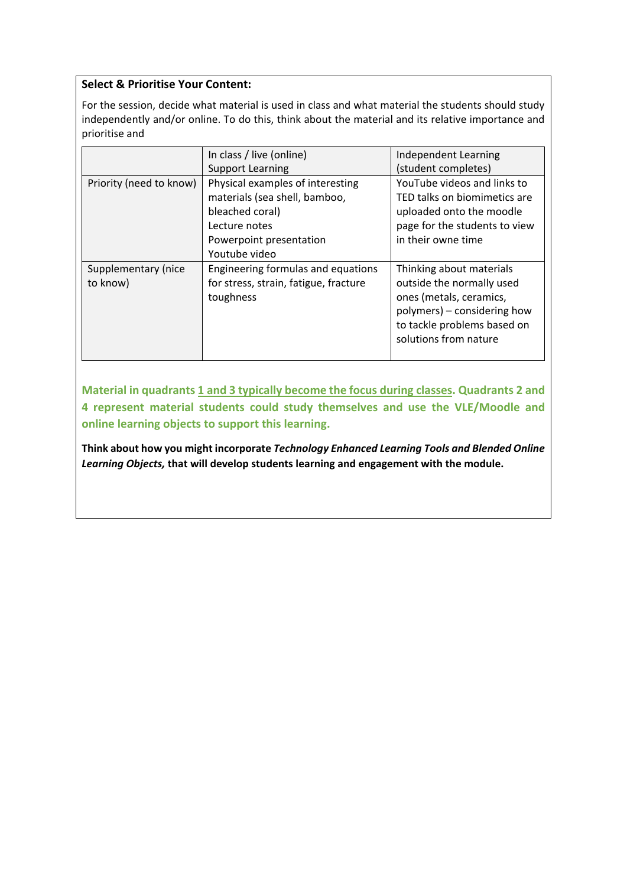### **Select & Prioritise Your Content:**

For the session, decide what material is used in class and what material the students should study independently and/or online. To do this, think about the material and its relative importance and prioritise and

|                                 | In class / live (online)                                                                                                                          | Independent Learning                                                                                                                                                    |
|---------------------------------|---------------------------------------------------------------------------------------------------------------------------------------------------|-------------------------------------------------------------------------------------------------------------------------------------------------------------------------|
|                                 | <b>Support Learning</b>                                                                                                                           | (student completes)                                                                                                                                                     |
| Priority (need to know)         | Physical examples of interesting<br>materials (sea shell, bamboo,<br>bleached coral)<br>Lecture notes<br>Powerpoint presentation<br>Youtube video | YouTube videos and links to<br>TED talks on biomimetics are<br>uploaded onto the moodle<br>page for the students to view<br>in their owne time                          |
| Supplementary (nice<br>to know) | Engineering formulas and equations<br>for stress, strain, fatigue, fracture<br>toughness                                                          | Thinking about materials<br>outside the normally used<br>ones (metals, ceramics,<br>polymers) – considering how<br>to tackle problems based on<br>solutions from nature |

Material in quadrants 1 and 3 typically become the focus during classes. Quadrants 2 and **4 represent material students could study themselves and use the VLE/Moodle and online learning objects to support this learning.** 

**Think about how you might incorporate** *Technology Enhanced Learning Tools and Blended Online Learning Objects,* **that will develop students learning and engagement with the module.**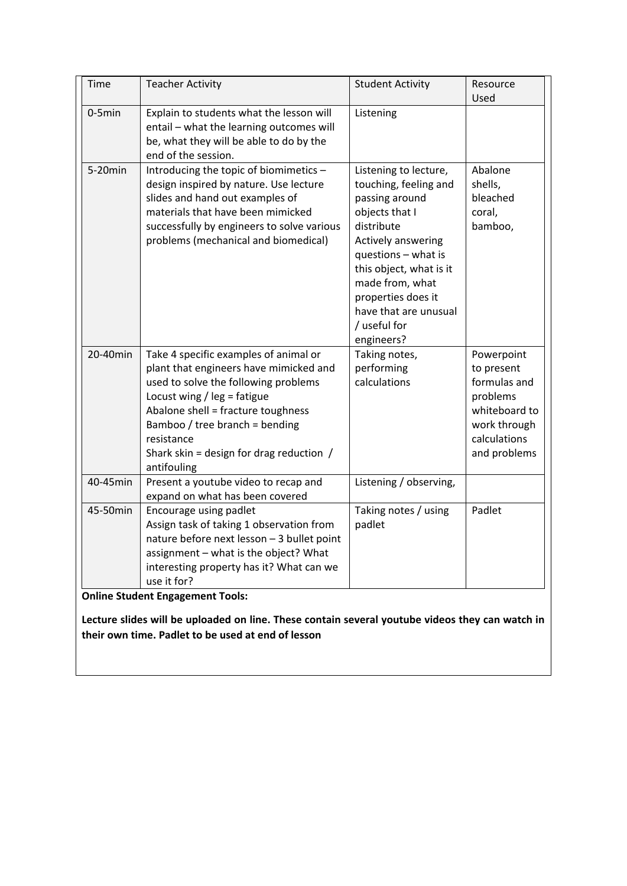| Time      | <b>Teacher Activity</b>                                                                                                                                                                                                                                                                                     | <b>Student Activity</b>                                                                                                                                                                                                                                                  | Resource                                                                                                              |
|-----------|-------------------------------------------------------------------------------------------------------------------------------------------------------------------------------------------------------------------------------------------------------------------------------------------------------------|--------------------------------------------------------------------------------------------------------------------------------------------------------------------------------------------------------------------------------------------------------------------------|-----------------------------------------------------------------------------------------------------------------------|
|           |                                                                                                                                                                                                                                                                                                             |                                                                                                                                                                                                                                                                          | Used                                                                                                                  |
| $0-5$ min | Explain to students what the lesson will<br>entail - what the learning outcomes will<br>be, what they will be able to do by the<br>end of the session.                                                                                                                                                      | Listening                                                                                                                                                                                                                                                                |                                                                                                                       |
| 5-20min   | Introducing the topic of biomimetics -<br>design inspired by nature. Use lecture<br>slides and hand out examples of<br>materials that have been mimicked<br>successfully by engineers to solve various<br>problems (mechanical and biomedical)                                                              | Listening to lecture,<br>touching, feeling and<br>passing around<br>objects that I<br>distribute<br>Actively answering<br>questions - what is<br>this object, what is it<br>made from, what<br>properties does it<br>have that are unusual<br>/ useful for<br>engineers? | Abalone<br>shells,<br>bleached<br>coral,<br>bamboo,                                                                   |
| 20-40min  | Take 4 specific examples of animal or<br>plant that engineers have mimicked and<br>used to solve the following problems<br>Locust wing / $leg = fatigue$<br>Abalone shell = fracture toughness<br>Bamboo / tree branch = bending<br>resistance<br>Shark skin = design for drag reduction $/$<br>antifouling | Taking notes,<br>performing<br>calculations                                                                                                                                                                                                                              | Powerpoint<br>to present<br>formulas and<br>problems<br>whiteboard to<br>work through<br>calculations<br>and problems |
| 40-45min  | Present a youtube video to recap and<br>expand on what has been covered                                                                                                                                                                                                                                     | Listening / observing,                                                                                                                                                                                                                                                   |                                                                                                                       |
| 45-50min  | Encourage using padlet<br>Assign task of taking 1 observation from<br>nature before next lesson - 3 bullet point<br>assignment - what is the object? What<br>interesting property has it? What can we<br>use it for?<br><b>Online Student Engagement Tools:</b>                                             | Taking notes / using<br>padlet                                                                                                                                                                                                                                           | Padlet                                                                                                                |

**Lecture slides will be uploaded on line. These contain several youtube videos they can watch in their own time. Padlet to be used at end of lesson**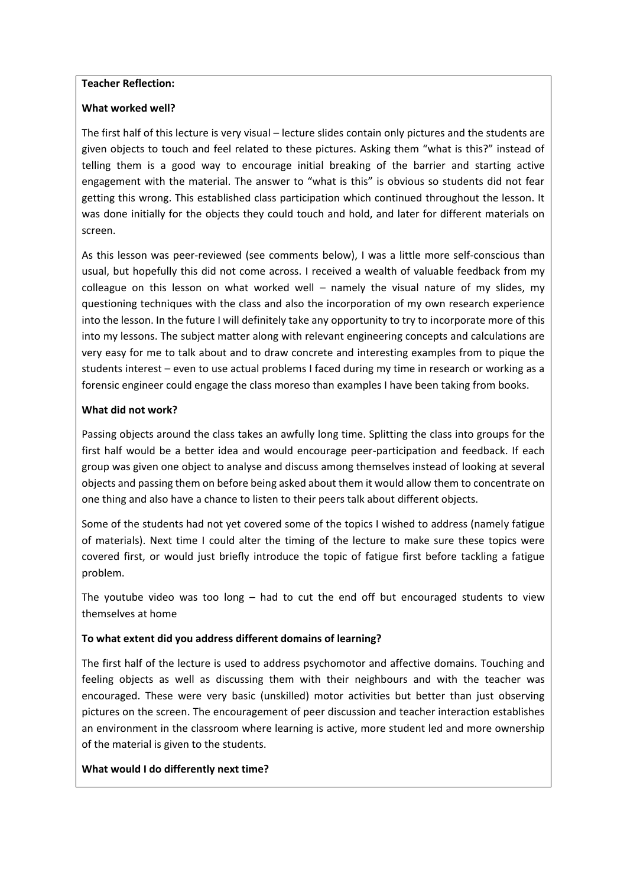#### **Teacher Reflection:**

#### **What worked well?**

The first half of this lecture is very visual – lecture slides contain only pictures and the students are given objects to touch and feel related to these pictures. Asking them "what is this?" instead of telling them is a good way to encourage initial breaking of the barrier and starting active engagement with the material. The answer to "what is this" is obvious so students did not fear getting this wrong. This established class participation which continued throughout the lesson. It was done initially for the objects they could touch and hold, and later for different materials on screen.

As this lesson was peer-reviewed (see comments below), I was a little more self-conscious than usual, but hopefully this did not come across. I received a wealth of valuable feedback from my colleague on this lesson on what worked well – namely the visual nature of my slides, my questioning techniques with the class and also the incorporation of my own research experience into the lesson. In the future I will definitely take any opportunity to try to incorporate more of this into my lessons. The subject matter along with relevant engineering concepts and calculations are very easy for me to talk about and to draw concrete and interesting examples from to pique the students interest – even to use actual problems I faced during my time in research or working as a forensic engineer could engage the class moreso than examples I have been taking from books.

#### **What did not work?**

Passing objects around the class takes an awfully long time. Splitting the class into groups for the first half would be a better idea and would encourage peer-participation and feedback. If each group was given one object to analyse and discuss among themselves instead of looking at several objects and passing them on before being asked about them it would allow them to concentrate on one thing and also have a chance to listen to their peers talk about different objects.

Some of the students had not yet covered some of the topics I wished to address (namely fatigue of materials). Next time I could alter the timing of the lecture to make sure these topics were covered first, or would just briefly introduce the topic of fatigue first before tackling a fatigue problem.

The youtube video was too long  $-$  had to cut the end off but encouraged students to view themselves at home

#### **To what extent did you address different domains of learning?**

The first half of the lecture is used to address psychomotor and affective domains. Touching and feeling objects as well as discussing them with their neighbours and with the teacher was encouraged. These were very basic (unskilled) motor activities but better than just observing pictures on the screen. The encouragement of peer discussion and teacher interaction establishes an environment in the classroom where learning is active, more student led and more ownership of the material is given to the students.

#### **What would I do differently next time?**